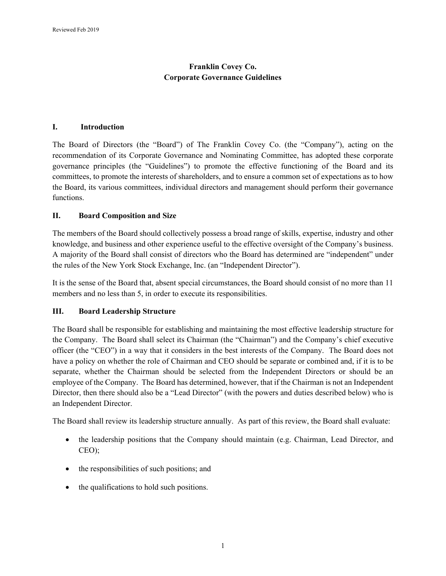# **Franklin Covey Co. Corporate Governance Guidelines**

#### **I. Introduction**

The Board of Directors (the "Board") of The Franklin Covey Co. (the "Company"), acting on the recommendation of its Corporate Governance and Nominating Committee, has adopted these corporate governance principles (the "Guidelines") to promote the effective functioning of the Board and its committees, to promote the interests of shareholders, and to ensure a common set of expectations as to how the Board, its various committees, individual directors and management should perform their governance functions.

# **II. Board Composition and Size**

The members of the Board should collectively possess a broad range of skills, expertise, industry and other knowledge, and business and other experience useful to the effective oversight of the Company's business. A majority of the Board shall consist of directors who the Board has determined are "independent" under the rules of the New York Stock Exchange, Inc. (an "Independent Director").

It is the sense of the Board that, absent special circumstances, the Board should consist of no more than 11 members and no less than 5, in order to execute its responsibilities.

# **III. Board Leadership Structure**

The Board shall be responsible for establishing and maintaining the most effective leadership structure for the Company. The Board shall select its Chairman (the "Chairman") and the Company's chief executive officer (the "CEO") in a way that it considers in the best interests of the Company. The Board does not have a policy on whether the role of Chairman and CEO should be separate or combined and, if it is to be separate, whether the Chairman should be selected from the Independent Directors or should be an employee of the Company. The Board has determined, however, that if the Chairman is not an Independent Director, then there should also be a "Lead Director" (with the powers and duties described below) who is an Independent Director.

The Board shall review its leadership structure annually. As part of this review, the Board shall evaluate:

- the leadership positions that the Company should maintain (e.g. Chairman, Lead Director, and CEO);
- the responsibilities of such positions; and
- the qualifications to hold such positions.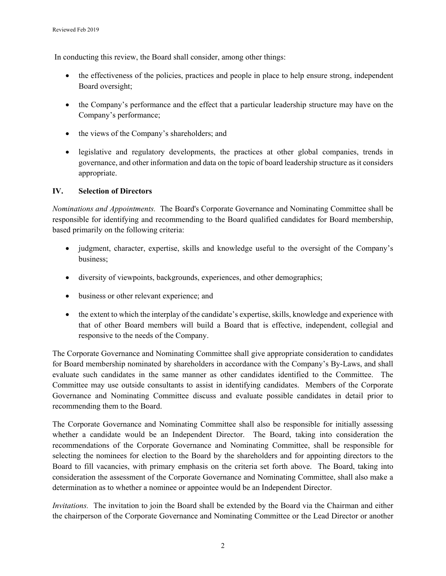In conducting this review, the Board shall consider, among other things:

- the effectiveness of the policies, practices and people in place to help ensure strong, independent Board oversight;
- the Company's performance and the effect that a particular leadership structure may have on the Company's performance;
- the views of the Company's shareholders; and
- legislative and regulatory developments, the practices at other global companies, trends in governance, and other information and data on the topic of board leadership structure as it considers appropriate.

# **IV. Selection of Directors**

*Nominations and Appointments.* The Board's Corporate Governance and Nominating Committee shall be responsible for identifying and recommending to the Board qualified candidates for Board membership, based primarily on the following criteria:

- judgment, character, expertise, skills and knowledge useful to the oversight of the Company's business;
- diversity of viewpoints, backgrounds, experiences, and other demographics;
- business or other relevant experience; and
- the extent to which the interplay of the candidate's expertise, skills, knowledge and experience with that of other Board members will build a Board that is effective, independent, collegial and responsive to the needs of the Company.

The Corporate Governance and Nominating Committee shall give appropriate consideration to candidates for Board membership nominated by shareholders in accordance with the Company's By-Laws, and shall evaluate such candidates in the same manner as other candidates identified to the Committee. The Committee may use outside consultants to assist in identifying candidates. Members of the Corporate Governance and Nominating Committee discuss and evaluate possible candidates in detail prior to recommending them to the Board.

The Corporate Governance and Nominating Committee shall also be responsible for initially assessing whether a candidate would be an Independent Director. The Board, taking into consideration the recommendations of the Corporate Governance and Nominating Committee, shall be responsible for selecting the nominees for election to the Board by the shareholders and for appointing directors to the Board to fill vacancies, with primary emphasis on the criteria set forth above. The Board, taking into consideration the assessment of the Corporate Governance and Nominating Committee, shall also make a determination as to whether a nominee or appointee would be an Independent Director.

*Invitations.* The invitation to join the Board shall be extended by the Board via the Chairman and either the chairperson of the Corporate Governance and Nominating Committee or the Lead Director or another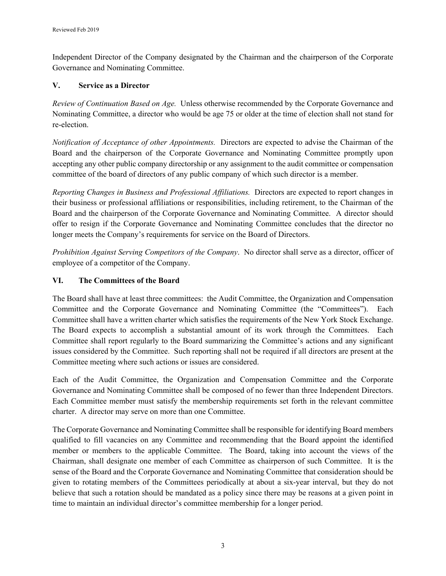Independent Director of the Company designated by the Chairman and the chairperson of the Corporate Governance and Nominating Committee.

# **V. Service as a Director**

*Review of Continuation Based on Age.* Unless otherwise recommended by the Corporate Governance and Nominating Committee, a director who would be age 75 or older at the time of election shall not stand for re-election.

*Notification of Acceptance of other Appointments.* Directors are expected to advise the Chairman of the Board and the chairperson of the Corporate Governance and Nominating Committee promptly upon accepting any other public company directorship or any assignment to the audit committee or compensation committee of the board of directors of any public company of which such director is a member.

*Reporting Changes in Business and Professional Affiliations.* Directors are expected to report changes in their business or professional affiliations or responsibilities, including retirement, to the Chairman of the Board and the chairperson of the Corporate Governance and Nominating Committee. A director should offer to resign if the Corporate Governance and Nominating Committee concludes that the director no longer meets the Company's requirements for service on the Board of Directors.

*Prohibition Against Serving Competitors of the Company*. No director shall serve as a director, officer of employee of a competitor of the Company.

# **VI. The Committees of the Board**

The Board shall have at least three committees: the Audit Committee, the Organization and Compensation Committee and the Corporate Governance and Nominating Committee (the "Committees"). Each Committee shall have a written charter which satisfies the requirements of the New York Stock Exchange. The Board expects to accomplish a substantial amount of its work through the Committees. Each Committee shall report regularly to the Board summarizing the Committee's actions and any significant issues considered by the Committee. Such reporting shall not be required if all directors are present at the Committee meeting where such actions or issues are considered.

Each of the Audit Committee, the Organization and Compensation Committee and the Corporate Governance and Nominating Committee shall be composed of no fewer than three Independent Directors. Each Committee member must satisfy the membership requirements set forth in the relevant committee charter. A director may serve on more than one Committee.

The Corporate Governance and Nominating Committee shall be responsible for identifying Board members qualified to fill vacancies on any Committee and recommending that the Board appoint the identified member or members to the applicable Committee. The Board, taking into account the views of the Chairman, shall designate one member of each Committee as chairperson of such Committee. It is the sense of the Board and the Corporate Governance and Nominating Committee that consideration should be given to rotating members of the Committees periodically at about a six-year interval, but they do not believe that such a rotation should be mandated as a policy since there may be reasons at a given point in time to maintain an individual director's committee membership for a longer period.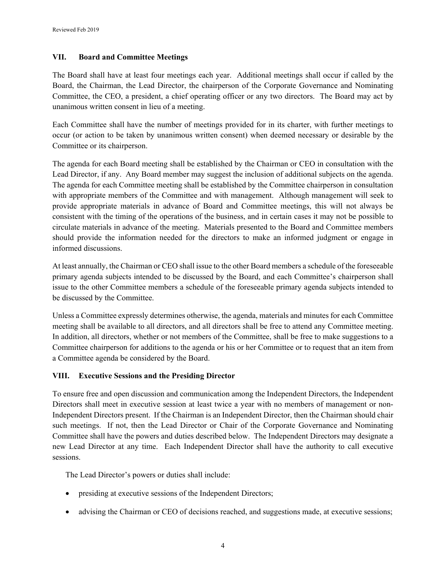# **VII. Board and Committee Meetings**

The Board shall have at least four meetings each year. Additional meetings shall occur if called by the Board, the Chairman, the Lead Director, the chairperson of the Corporate Governance and Nominating Committee, the CEO, a president, a chief operating officer or any two directors. The Board may act by unanimous written consent in lieu of a meeting.

Each Committee shall have the number of meetings provided for in its charter, with further meetings to occur (or action to be taken by unanimous written consent) when deemed necessary or desirable by the Committee or its chairperson.

The agenda for each Board meeting shall be established by the Chairman or CEO in consultation with the Lead Director, if any. Any Board member may suggest the inclusion of additional subjects on the agenda. The agenda for each Committee meeting shall be established by the Committee chairperson in consultation with appropriate members of the Committee and with management. Although management will seek to provide appropriate materials in advance of Board and Committee meetings, this will not always be consistent with the timing of the operations of the business, and in certain cases it may not be possible to circulate materials in advance of the meeting. Materials presented to the Board and Committee members should provide the information needed for the directors to make an informed judgment or engage in informed discussions.

At least annually, the Chairman or CEO shall issue to the other Board members a schedule of the foreseeable primary agenda subjects intended to be discussed by the Board, and each Committee's chairperson shall issue to the other Committee members a schedule of the foreseeable primary agenda subjects intended to be discussed by the Committee.

Unless a Committee expressly determines otherwise, the agenda, materials and minutes for each Committee meeting shall be available to all directors, and all directors shall be free to attend any Committee meeting. In addition, all directors, whether or not members of the Committee, shall be free to make suggestions to a Committee chairperson for additions to the agenda or his or her Committee or to request that an item from a Committee agenda be considered by the Board.

# **VIII. Executive Sessions and the Presiding Director**

To ensure free and open discussion and communication among the Independent Directors, the Independent Directors shall meet in executive session at least twice a year with no members of management or non-Independent Directors present. If the Chairman is an Independent Director, then the Chairman should chair such meetings. If not, then the Lead Director or Chair of the Corporate Governance and Nominating Committee shall have the powers and duties described below. The Independent Directors may designate a new Lead Director at any time. Each Independent Director shall have the authority to call executive sessions.

The Lead Director's powers or duties shall include:

- presiding at executive sessions of the Independent Directors;
- advising the Chairman or CEO of decisions reached, and suggestions made, at executive sessions;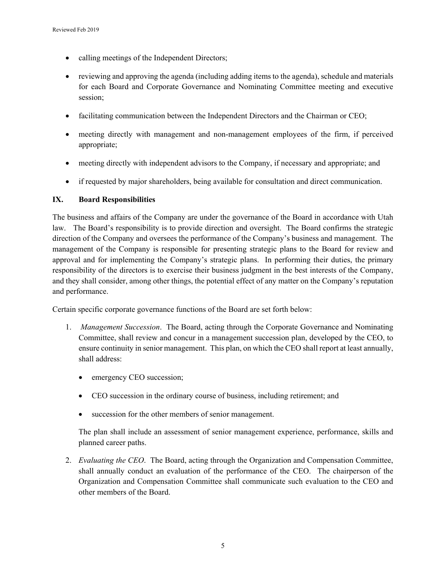- calling meetings of the Independent Directors;
- reviewing and approving the agenda (including adding items to the agenda), schedule and materials for each Board and Corporate Governance and Nominating Committee meeting and executive session;
- facilitating communication between the Independent Directors and the Chairman or CEO;
- meeting directly with management and non-management employees of the firm, if perceived appropriate;
- meeting directly with independent advisors to the Company, if necessary and appropriate; and
- if requested by major shareholders, being available for consultation and direct communication.

# **IX. Board Responsibilities**

The business and affairs of the Company are under the governance of the Board in accordance with Utah law. The Board's responsibility is to provide direction and oversight. The Board confirms the strategic direction of the Company and oversees the performance of the Company's business and management. The management of the Company is responsible for presenting strategic plans to the Board for review and approval and for implementing the Company's strategic plans. In performing their duties, the primary responsibility of the directors is to exercise their business judgment in the best interests of the Company, and they shall consider, among other things, the potential effect of any matter on the Company's reputation and performance.

Certain specific corporate governance functions of the Board are set forth below:

- 1. *Management Succession*. The Board, acting through the Corporate Governance and Nominating Committee, shall review and concur in a management succession plan, developed by the CEO, to ensure continuity in senior management. This plan, on which the CEO shall report at least annually, shall address:
	- emergency CEO succession;
	- CEO succession in the ordinary course of business, including retirement; and
	- succession for the other members of senior management.

The plan shall include an assessment of senior management experience, performance, skills and planned career paths.

2. *Evaluating the CEO*. The Board, acting through the Organization and Compensation Committee, shall annually conduct an evaluation of the performance of the CEO. The chairperson of the Organization and Compensation Committee shall communicate such evaluation to the CEO and other members of the Board.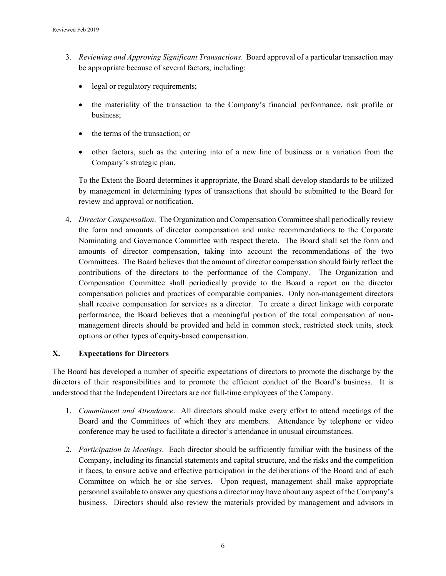- 3. *Reviewing and Approving Significant Transactions*. Board approval of a particular transaction may be appropriate because of several factors, including:
	- legal or regulatory requirements;
	- the materiality of the transaction to the Company's financial performance, risk profile or business;
	- the terms of the transaction; or
	- other factors, such as the entering into of a new line of business or a variation from the Company's strategic plan.

To the Extent the Board determines it appropriate, the Board shall develop standards to be utilized by management in determining types of transactions that should be submitted to the Board for review and approval or notification.

4. *Director Compensation*. The Organization and Compensation Committee shall periodically review the form and amounts of director compensation and make recommendations to the Corporate Nominating and Governance Committee with respect thereto. The Board shall set the form and amounts of director compensation, taking into account the recommendations of the two Committees. The Board believes that the amount of director compensation should fairly reflect the contributions of the directors to the performance of the Company. The Organization and Compensation Committee shall periodically provide to the Board a report on the director compensation policies and practices of comparable companies. Only non-management directors shall receive compensation for services as a director. To create a direct linkage with corporate performance, the Board believes that a meaningful portion of the total compensation of nonmanagement directs should be provided and held in common stock, restricted stock units, stock options or other types of equity-based compensation.

# **X. Expectations for Directors**

The Board has developed a number of specific expectations of directors to promote the discharge by the directors of their responsibilities and to promote the efficient conduct of the Board's business. It is understood that the Independent Directors are not full-time employees of the Company.

- 1. *Commitment and Attendance*. All directors should make every effort to attend meetings of the Board and the Committees of which they are members. Attendance by telephone or video conference may be used to facilitate a director's attendance in unusual circumstances.
- 2. *Participation in Meetings*. Each director should be sufficiently familiar with the business of the Company, including its financial statements and capital structure, and the risks and the competition it faces, to ensure active and effective participation in the deliberations of the Board and of each Committee on which he or she serves. Upon request, management shall make appropriate personnel available to answer any questions a director may have about any aspect of the Company's business. Directors should also review the materials provided by management and advisors in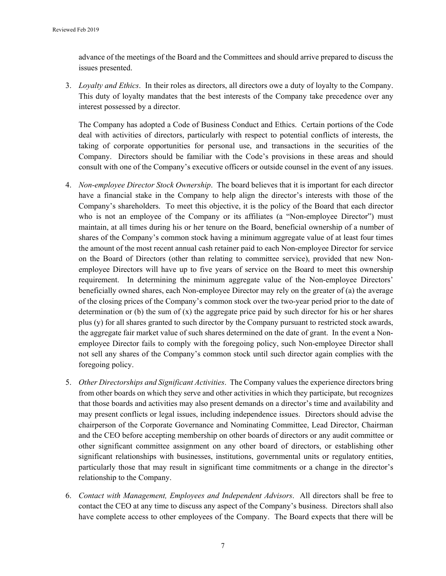advance of the meetings of the Board and the Committees and should arrive prepared to discuss the issues presented.

3. *Loyalty and Ethics*. In their roles as directors, all directors owe a duty of loyalty to the Company. This duty of loyalty mandates that the best interests of the Company take precedence over any interest possessed by a director.

The Company has adopted a Code of Business Conduct and Ethics. Certain portions of the Code deal with activities of directors, particularly with respect to potential conflicts of interests, the taking of corporate opportunities for personal use, and transactions in the securities of the Company. Directors should be familiar with the Code's provisions in these areas and should consult with one of the Company's executive officers or outside counsel in the event of any issues.

- 4. *Non-employee Director Stock Ownership*. The board believes that it is important for each director have a financial stake in the Company to help align the director's interests with those of the Company's shareholders. To meet this objective, it is the policy of the Board that each director who is not an employee of the Company or its affiliates (a "Non-employee Director") must maintain, at all times during his or her tenure on the Board, beneficial ownership of a number of shares of the Company's common stock having a minimum aggregate value of at least four times the amount of the most recent annual cash retainer paid to each Non-employee Director for service on the Board of Directors (other than relating to committee service), provided that new Nonemployee Directors will have up to five years of service on the Board to meet this ownership requirement. In determining the minimum aggregate value of the Non-employee Directors' beneficially owned shares, each Non-employee Director may rely on the greater of (a) the average of the closing prices of the Company's common stock over the two-year period prior to the date of determination or (b) the sum of  $(x)$  the aggregate price paid by such director for his or her shares plus (y) for all shares granted to such director by the Company pursuant to restricted stock awards, the aggregate fair market value of such shares determined on the date of grant. In the event a Nonemployee Director fails to comply with the foregoing policy, such Non-employee Director shall not sell any shares of the Company's common stock until such director again complies with the foregoing policy.
- 5. *Other Directorships and Significant Activities*. The Company values the experience directors bring from other boards on which they serve and other activities in which they participate, but recognizes that those boards and activities may also present demands on a director's time and availability and may present conflicts or legal issues, including independence issues. Directors should advise the chairperson of the Corporate Governance and Nominating Committee, Lead Director, Chairman and the CEO before accepting membership on other boards of directors or any audit committee or other significant committee assignment on any other board of directors, or establishing other significant relationships with businesses, institutions, governmental units or regulatory entities, particularly those that may result in significant time commitments or a change in the director's relationship to the Company.
- 6. *Contact with Management, Employees and Independent Advisors*. All directors shall be free to contact the CEO at any time to discuss any aspect of the Company's business. Directors shall also have complete access to other employees of the Company. The Board expects that there will be